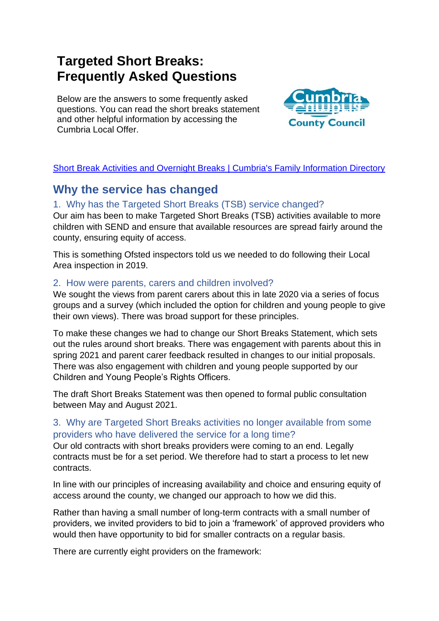# **Targeted Short Breaks: Frequently Asked Questions**

Below are the answers to some frequently asked questions. You can read the short breaks statement and other helpful information by accessing the Cumbria Local Offer.



#### [Short Break Activities and Overnight Breaks](https://localoffer.cumbria.gov.uk/kb5/cumbria/fsd/family.page?familychannel=5-8&lo_boolean=1) | Cumbria's Family Information Directory

### **Why the service has changed**

#### 1. Why has the Targeted Short Breaks (TSB) service changed?

Our aim has been to make Targeted Short Breaks (TSB) activities available to more children with SEND and ensure that available resources are spread fairly around the county, ensuring equity of access.

This is something Ofsted inspectors told us we needed to do following their Local Area inspection in 2019.

#### 2. How were parents, carers and children involved?

We sought the views from parent carers about this in late 2020 via a series of focus groups and a survey (which included the option for children and young people to give their own views). There was broad support for these principles.

To make these changes we had to change our Short Breaks Statement, which sets out the rules around short breaks. There was engagement with parents about this in spring 2021 and parent carer feedback resulted in changes to our initial proposals. There was also engagement with children and young people supported by our Children and Young People's Rights Officers.

The draft Short Breaks Statement was then opened to formal public consultation between May and August 2021.

#### 3. Why are Targeted Short Breaks activities no longer available from some providers who have delivered the service for a long time?

Our old contracts with short breaks providers were coming to an end. Legally contracts must be for a set period. We therefore had to start a process to let new contracts.

In line with our principles of increasing availability and choice and ensuring equity of access around the county, we changed our approach to how we did this.

Rather than having a small number of long-term contracts with a small number of providers, we invited providers to bid to join a 'framework' of approved providers who would then have opportunity to bid for smaller contracts on a regular basis.

There are currently eight providers on the framework: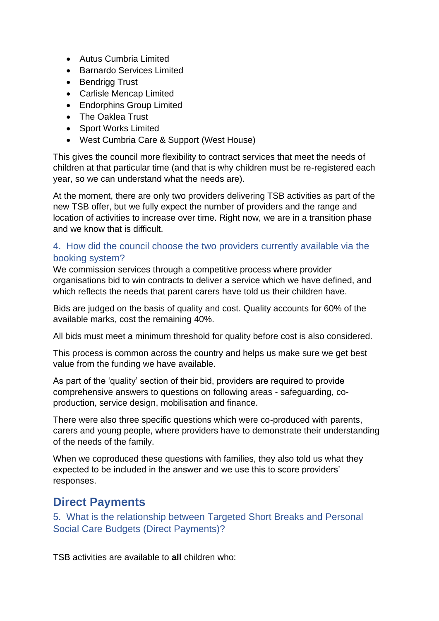- Autus Cumbria Limited
- Barnardo Services Limited
- Bendrigg Trust
- Carlisle Mencap Limited
- Endorphins Group Limited
- The Oaklea Trust
- Sport Works Limited
- West Cumbria Care & Support (West House)

This gives the council more flexibility to contract services that meet the needs of children at that particular time (and that is why children must be re-registered each year, so we can understand what the needs are).

At the moment, there are only two providers delivering TSB activities as part of the new TSB offer, but we fully expect the number of providers and the range and location of activities to increase over time. Right now, we are in a transition phase and we know that is difficult.

#### 4. How did the council choose the two providers currently available via the booking system?

We commission services through a competitive process where provider organisations bid to win contracts to deliver a service which we have defined, and which reflects the needs that parent carers have told us their children have.

Bids are judged on the basis of quality and cost. Quality accounts for 60% of the available marks, cost the remaining 40%.

All bids must meet a minimum threshold for quality before cost is also considered.

This process is common across the country and helps us make sure we get best value from the funding we have available.

As part of the 'quality' section of their bid, providers are required to provide comprehensive answers to questions on following areas - safeguarding, coproduction, service design, mobilisation and finance.

There were also three specific questions which were co-produced with parents, carers and young people, where providers have to demonstrate their understanding of the needs of the family.

When we coproduced these questions with families, they also told us what they expected to be included in the answer and we use this to score providers' responses.

### **Direct Payments**

5. What is the relationship between Targeted Short Breaks and Personal Social Care Budgets (Direct Payments)?

TSB activities are available to **all** children who: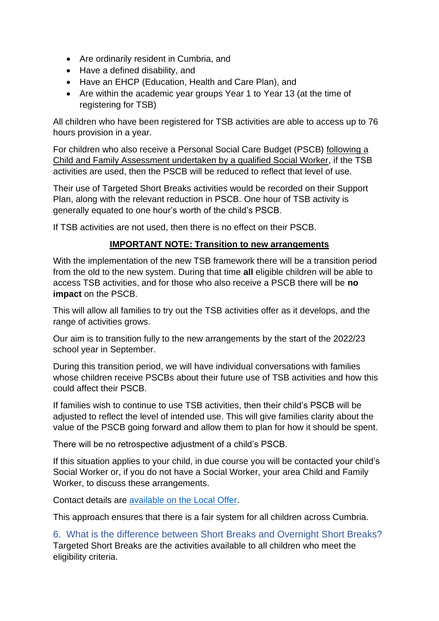- Are ordinarily resident in Cumbria, and
- Have a defined disability, and
- Have an EHCP (Education, Health and Care Plan), and
- Are within the academic year groups Year 1 to Year 13 (at the time of registering for TSB)

All children who have been registered for TSB activities are able to access up to 76 hours provision in a year.

For children who also receive a Personal Social Care Budget (PSCB) following a Child and Family Assessment undertaken by a qualified Social Worker, if the TSB activities are used, then the PSCB will be reduced to reflect that level of use.

Their use of Targeted Short Breaks activities would be recorded on their Support Plan, along with the relevant reduction in PSCB. One hour of TSB activity is generally equated to one hour's worth of the child's PSCB.

If TSB activities are not used, then there is no effect on their PSCB.

#### **IMPORTANT NOTE: Transition to new arrangements**

With the implementation of the new TSB framework there will be a transition period from the old to the new system. During that time **all** eligible children will be able to access TSB activities, and for those who also receive a PSCB there will be **no impact** on the PSCB.

This will allow all families to try out the TSB activities offer as it develops, and the range of activities grows.

Our aim is to transition fully to the new arrangements by the start of the 2022/23 school year in September.

During this transition period, we will have individual conversations with families whose children receive PSCBs about their future use of TSB activities and how this could affect their PSCB.

If families wish to continue to use TSB activities, then their child's PSCB will be adjusted to reflect the level of intended use. This will give families clarity about the value of the PSCB going forward and allow them to plan for how it should be spent.

There will be no retrospective adjustment of a child's PSCB.

If this situation applies to your child, in due course you will be contacted your child's Social Worker or, if you do not have a Social Worker, your area Child and Family Worker, to discuss these arrangements.

Contact details are [available on the Local Offer.](https://search3.openobjects.com/mediamanager/cumbria/fsd/files/inclusion_-_social_care_structure_120122.pdf)

This approach ensures that there is a fair system for all children across Cumbria.

6. What is the difference between Short Breaks and Overnight Short Breaks? Targeted Short Breaks are the activities available to all children who meet the eligibility criteria.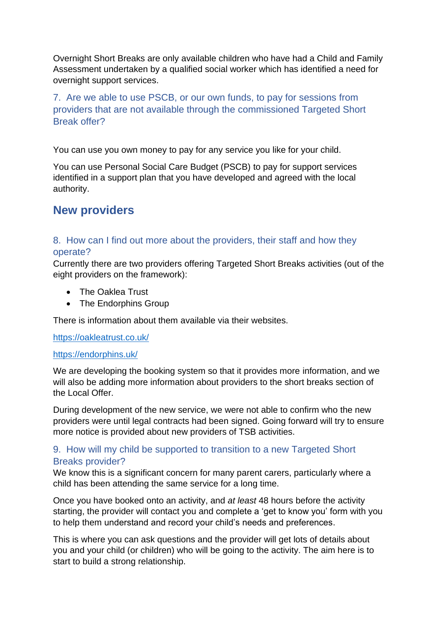Overnight Short Breaks are only available children who have had a Child and Family Assessment undertaken by a qualified social worker which has identified a need for overnight support services.

7. Are we able to use PSCB, or our own funds, to pay for sessions from providers that are not available through the commissioned Targeted Short Break offer?

You can use you own money to pay for any service you like for your child.

You can use Personal Social Care Budget (PSCB) to pay for support services identified in a support plan that you have developed and agreed with the local authority.

### **New providers**

#### 8. How can I find out more about the providers, their staff and how they operate?

Currently there are two providers offering Targeted Short Breaks activities (out of the eight providers on the framework):

- The Oaklea Trust
- The Endorphins Group

There is information about them available via their websites.

<https://oakleatrust.co.uk/>

#### <https://endorphins.uk/>

We are developing the booking system so that it provides more information, and we will also be adding more information about providers to the short breaks section of the Local Offer

During development of the new service, we were not able to confirm who the new providers were until legal contracts had been signed. Going forward will try to ensure more notice is provided about new providers of TSB activities.

#### 9. How will my child be supported to transition to a new Targeted Short Breaks provider?

We know this is a significant concern for many parent carers, particularly where a child has been attending the same service for a long time.

Once you have booked onto an activity, and *at least* 48 hours before the activity starting, the provider will contact you and complete a 'get to know you' form with you to help them understand and record your child's needs and preferences.

This is where you can ask questions and the provider will get lots of details about you and your child (or children) who will be going to the activity. The aim here is to start to build a strong relationship.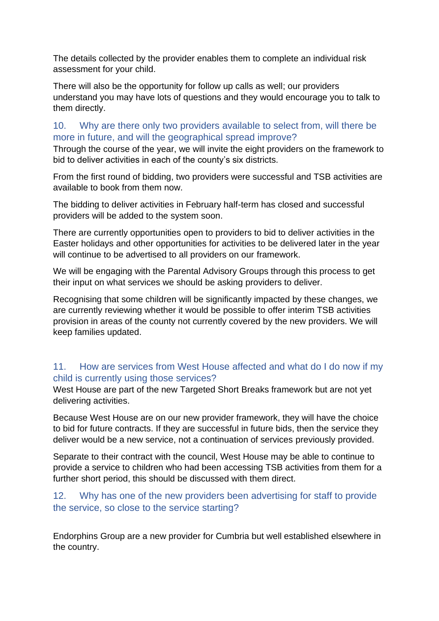The details collected by the provider enables them to complete an individual risk assessment for your child.

There will also be the opportunity for follow up calls as well; our providers understand you may have lots of questions and they would encourage you to talk to them directly.

#### 10. Why are there only two providers available to select from, will there be more in future, and will the geographical spread improve?

Through the course of the year, we will invite the eight providers on the framework to bid to deliver activities in each of the county's six districts.

From the first round of bidding, two providers were successful and TSB activities are available to book from them now.

The bidding to deliver activities in February half-term has closed and successful providers will be added to the system soon.

There are currently opportunities open to providers to bid to deliver activities in the Easter holidays and other opportunities for activities to be delivered later in the year will continue to be advertised to all providers on our framework.

We will be engaging with the Parental Advisory Groups through this process to get their input on what services we should be asking providers to deliver.

Recognising that some children will be significantly impacted by these changes, we are currently reviewing whether it would be possible to offer interim TSB activities provision in areas of the county not currently covered by the new providers. We will keep families updated.

#### 11. How are services from West House affected and what do I do now if my child is currently using those services?

West House are part of the new Targeted Short Breaks framework but are not yet delivering activities.

Because West House are on our new provider framework, they will have the choice to bid for future contracts. If they are successful in future bids, then the service they deliver would be a new service, not a continuation of services previously provided.

Separate to their contract with the council, West House may be able to continue to provide a service to children who had been accessing TSB activities from them for a further short period, this should be discussed with them direct.

#### 12. Why has one of the new providers been advertising for staff to provide the service, so close to the service starting?

Endorphins Group are a new provider for Cumbria but well established elsewhere in the country.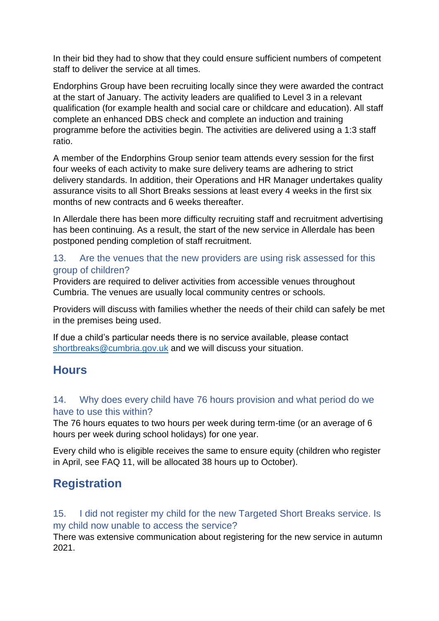In their bid they had to show that they could ensure sufficient numbers of competent staff to deliver the service at all times.

Endorphins Group have been recruiting locally since they were awarded the contract at the start of January. The activity leaders are qualified to Level 3 in a relevant qualification (for example health and social care or childcare and education). All staff complete an enhanced DBS check and complete an induction and training programme before the activities begin. The activities are delivered using a 1:3 staff ratio.

A member of the Endorphins Group senior team attends every session for the first four weeks of each activity to make sure delivery teams are adhering to strict delivery standards. In addition, their Operations and HR Manager undertakes quality assurance visits to all Short Breaks sessions at least every 4 weeks in the first six months of new contracts and 6 weeks thereafter.

In Allerdale there has been more difficulty recruiting staff and recruitment advertising has been continuing. As a result, the start of the new service in Allerdale has been postponed pending completion of staff recruitment.

#### 13. Are the venues that the new providers are using risk assessed for this group of children?

Providers are required to deliver activities from accessible venues throughout Cumbria. The venues are usually local community centres or schools.

Providers will discuss with families whether the needs of their child can safely be met in the premises being used.

If due a child's particular needs there is no service available, please contact [shortbreaks@cumbria.gov.uk](mailto:shortbreaks@cumbria.gov.uk) and we will discuss your situation.

### **Hours**

#### 14. Why does every child have 76 hours provision and what period do we have to use this within?

The 76 hours equates to two hours per week during term-time (or an average of 6 hours per week during school holidays) for one year.

Every child who is eligible receives the same to ensure equity (children who register in April, see FAQ 11, will be allocated 38 hours up to October).

## **Registration**

#### 15. I did not register my child for the new Targeted Short Breaks service. Is my child now unable to access the service?

There was extensive communication about registering for the new service in autumn 2021.